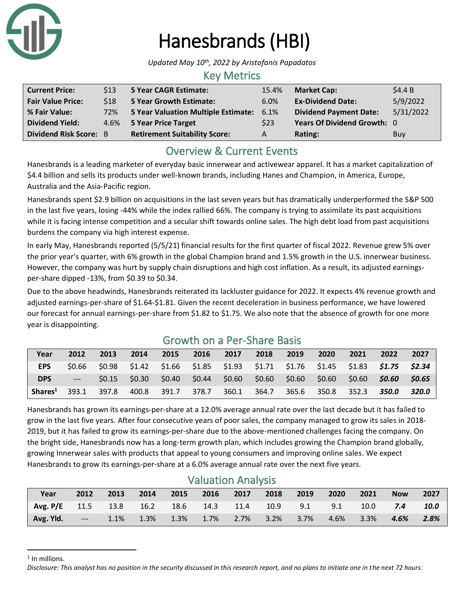

# Hanesbrands (HBI)

*Updated May 10th, 2022 by Aristofanis Papadatos*

#### Key Metrics

| <b>Current Price:</b>         | \$13 | 5 Year CAGR Estimate:                    | 15.4% | <b>Market Cap:</b>            | \$4.4B    |
|-------------------------------|------|------------------------------------------|-------|-------------------------------|-----------|
| <b>Fair Value Price:</b>      | \$18 | <b>5 Year Growth Estimate:</b>           | 6.0%  | <b>Ex-Dividend Date:</b>      | 5/9/2022  |
| % Fair Value:                 | 72%  | 5 Year Valuation Multiple Estimate: 6.1% |       | <b>Dividend Payment Date:</b> | 5/31/2022 |
| <b>Dividend Yield:</b>        |      | 4.6% 5 Year Price Target                 | \$23  | Years Of Dividend Growth: 0   |           |
| <b>Dividend Risk Score: B</b> |      | <b>Retirement Suitability Score:</b>     | A     | Rating:                       | Buy       |

### Overview & Current Events

Hanesbrands is a leading marketer of everyday basic innerwear and activewear apparel. It has a market capitalization of \$4.4 billion and sells its products under well-known brands, including Hanes and Champion, in America, Europe, Australia and the Asia-Pacific region.

Hanesbrands spent \$2.9 billion on acquisitions in the last seven years but has dramatically underperformed the S&P 500 in the last five years, losing -44% while the index rallied 66%. The company is trying to assimilate its past acquisitions while it is facing intense competition and a secular shift towards online sales. The high debt load from past acquisitions burdens the company via high interest expense.

In early May, Hanesbrands reported (5/5/21) financial results for the first quarter of fiscal 2022. Revenue grew 5% over the prior year's quarter, with 6% growth in the global Champion brand and 1.5% growth in the U.S. innerwear business. However, the company was hurt by supply chain disruptions and high cost inflation. As a result, its adjusted earningsper-share dipped -13%, from \$0.39 to \$0.34.

Due to the above headwinds, Hanesbrands reiterated its lackluster guidance for 2022. It expects 4% revenue growth and adjusted earnings-per-share of \$1.64-\$1.81. Given the recent deceleration in business performance, we have lowered our forecast for annual earnings-per-share from \$1.82 to \$1.75. We also note that the absence of growth for one more year is disappointing.

| Year                | 2012   | 2013   | 2014            | 2015         | 2016 | 2017                                    | 2018        | 2019  | 2020   | 2021   | 2022                                                                         | 2027  |
|---------------------|--------|--------|-----------------|--------------|------|-----------------------------------------|-------------|-------|--------|--------|------------------------------------------------------------------------------|-------|
| <b>EPS</b>          | \$0.66 | \$0.98 |                 |              |      |                                         |             |       |        |        | \$1.42 \$1.66 \$1.85 \$1.93 \$1.71 \$1.76 \$1.45 \$1.83 <b>\$1.75 \$2.34</b> |       |
| <b>DPS</b>          | $---$  |        | $$0.15$ $$0.30$ |              |      | $$0.40$ $$0.44$ $$0.60$ $$0.60$ $$0.60$ |             |       | \$0.60 | \$0.60 | \$0.60                                                                       | SO.65 |
| Shares <sup>1</sup> | 393.1  | 397.8  | 400.8           | 391.7  378.7 |      |                                         | 360.1 364.7 | 365.6 | 350.8  | 352.3  | 350.0                                                                        | 320.0 |

## Growth on a Per-Share Basis

Hanesbrands has grown its earnings-per-share at a 12.0% average annual rate over the last decade but it has failed to grow in the last five years. After four consecutive years of poor sales, the company managed to grow its sales in 2018- 2019, but it has failed to grow its earnings-per-share due to the above-mentioned challenges facing the company. On the bright side, Hanesbrands now has a long-term growth plan, which includes growing the Champion brand globally, growing Innerwear sales with products that appeal to young consumers and improving online sales. We expect Hanesbrands to grow its earnings-per-share at a 6.0% average annual rate over the next five years.

| <b>Valuation Alialysis</b>             |            |      |      |          |             |      |                |          |      |         |            |      |
|----------------------------------------|------------|------|------|----------|-------------|------|----------------|----------|------|---------|------------|------|
| Year                                   | 2012       | 2013 | 2014 | 2015     | $\sim$ 2016 | 2017 | 2018           | 2019     | 2020 | 2021    | <b>Now</b> | 2027 |
| Avg. P/E 11.5 13.8 16.2 18.6 14.3 11.4 |            |      |      |          |             |      |                | 10.9 9.1 | 9.1  | 10.0    | 7.4        | 10.0 |
| Avg. Yld.                              | / <i>.</i> | 1.1% | 1.3% | $-1.3\%$ | 1.7%        |      | 2.7% 3.2% 3.7% |          | 4.6% | $3.3\%$ | 4.6%       | 2.8% |

## Valuation Analysis

<sup>1</sup> In millions.

*Disclosure: This analyst has no position in the security discussed in this research report, and no plans to initiate one in the next 72 hours.*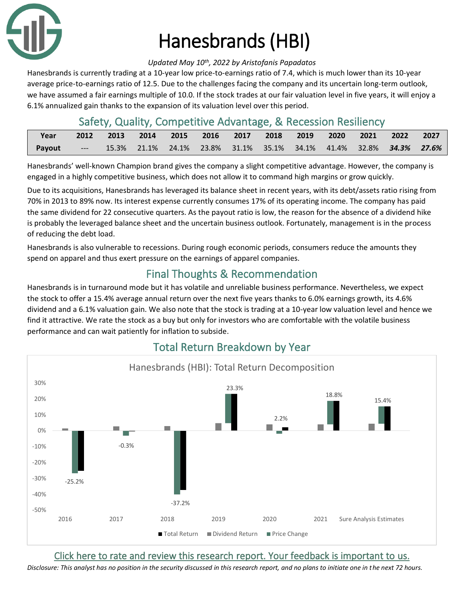

# Hanesbrands (HBI)

#### *Updated May 10th, 2022 by Aristofanis Papadatos*

Hanesbrands is currently trading at a 10-year low price-to-earnings ratio of 7.4, which is much lower than its 10-year average price-to-earnings ratio of 12.5. Due to the challenges facing the company and its uncertain long-term outlook, we have assumed a fair earnings multiple of 10.0. If the stock trades at our fair valuation level in five years, it will enjoy a 6.1% annualized gain thanks to the expansion of its valuation level over this period.

### Safety, Quality, Competitive Advantage, & Recession Resiliency

| Year          |       | 2012 2013 2014 2015 2016 2017 2018 2019 2020 2021 2022 2027              |  |  |  |  |  |
|---------------|-------|--------------------------------------------------------------------------|--|--|--|--|--|
| <b>Payout</b> | $---$ | 15.3% 21.1% 24.1% 23.8% 31.1% 35.1% 34.1% 41.4% 32.8% <b>34.3% 27.6%</b> |  |  |  |  |  |

Hanesbrands' well-known Champion brand gives the company a slight competitive advantage. However, the company is engaged in a highly competitive business, which does not allow it to command high margins or grow quickly.

Due to its acquisitions, Hanesbrands has leveraged its balance sheet in recent years, with its debt/assets ratio rising from 70% in 2013 to 89% now. Its interest expense currently consumes 17% of its operating income. The company has paid the same dividend for 22 consecutive quarters. As the payout ratio is low, the reason for the absence of a dividend hike is probably the leveraged balance sheet and the uncertain business outlook. Fortunately, management is in the process of reducing the debt load.

Hanesbrands is also vulnerable to recessions. During rough economic periods, consumers reduce the amounts they spend on apparel and thus exert pressure on the earnings of apparel companies.

# Final Thoughts & Recommendation

Hanesbrands is in turnaround mode but it has volatile and unreliable business performance. Nevertheless, we expect the stock to offer a 15.4% average annual return over the next five years thanks to 6.0% earnings growth, its 4.6% dividend and a 6.1% valuation gain. We also note that the stock is trading at a 10-year low valuation level and hence we find it attractive. We rate the stock as a buy but only for investors who are comfortable with the volatile business performance and can wait patiently for inflation to subside.



## Total Return Breakdown by Year

[Click here to rate and review this research report. Your feedback is important to us.](https://suredividend.typeform.com/to/XY4lgv)

*Disclosure: This analyst has no position in the security discussed in this research report, and no plans to initiate one in the next 72 hours.*